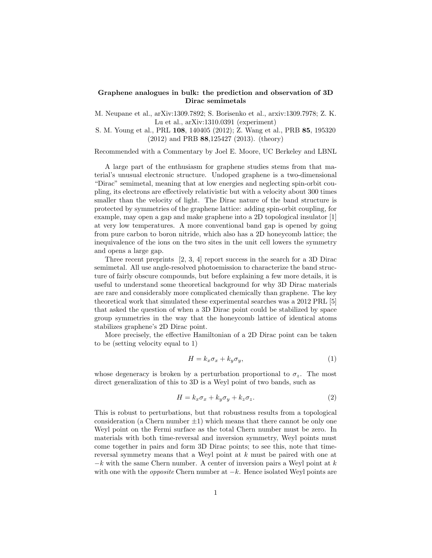## Graphene analogues in bulk: the prediction and observation of 3D Dirac semimetals

M. Neupane et al., arXiv:1309.7892; S. Borisenko et al., arxiv:1309.7978; Z. K. Lu et al., arXiv:1310.0391 (experiment)

S. M. Young et al., PRL 108, 140405 (2012); Z. Wang et al., PRB 85, 195320 (2012) and PRB 88,125427 (2013). (theory)

Recommended with a Commentary by Joel E. Moore, UC Berkeley and LBNL

A large part of the enthusiasm for graphene studies stems from that material's unusual electronic structure. Undoped graphene is a two-dimensional "Dirac" semimetal, meaning that at low energies and neglecting spin-orbit coupling, its electrons are effectively relativistic but with a velocity about 300 times smaller than the velocity of light. The Dirac nature of the band structure is protected by symmetries of the graphene lattice: adding spin-orbit coupling, for example, may open a gap and make graphene into a 2D topological insulator [1] at very low temperatures. A more conventional band gap is opened by going from pure carbon to boron nitride, which also has a 2D honeycomb lattice; the inequivalence of the ions on the two sites in the unit cell lowers the symmetry and opens a large gap.

Three recent preprints [2, 3, 4] report success in the search for a 3D Dirac semimetal. All use angle-resolved photoemission to characterize the band structure of fairly obscure compounds, but before explaining a few more details, it is useful to understand some theoretical background for why 3D Dirac materials are rare and considerably more complicated chemically than graphene. The key theoretical work that simulated these experimental searches was a 2012 PRL [5] that asked the question of when a 3D Dirac point could be stabilized by space group symmetries in the way that the honeycomb lattice of identical atoms stabilizes graphene's 2D Dirac point.

More precisely, the effective Hamiltonian of a 2D Dirac point can be taken to be (setting velocity equal to 1)

$$
H = k_x \sigma_x + k_y \sigma_y,\tag{1}
$$

whose degeneracy is broken by a perturbation proportional to  $\sigma_z$ . The most direct generalization of this to 3D is a Weyl point of two bands, such as

$$
H = k_x \sigma_x + k_y \sigma_y + k_z \sigma_z. \tag{2}
$$

This is robust to perturbations, but that robustness results from a topological consideration (a Chern number  $\pm 1$ ) which means that there cannot be only one Weyl point on the Fermi surface as the total Chern number must be zero. In materials with both time-reversal and inversion symmetry, Weyl points must come together in pairs and form 3D Dirac points; to see this, note that timereversal symmetry means that a Weyl point at *k* must be paired with one at  $-k$  with the same Chern number. A center of inversion pairs a Weyl point at  $k$ with one with the *opposite* Chern number at  $-k$ . Hence isolated Weyl points are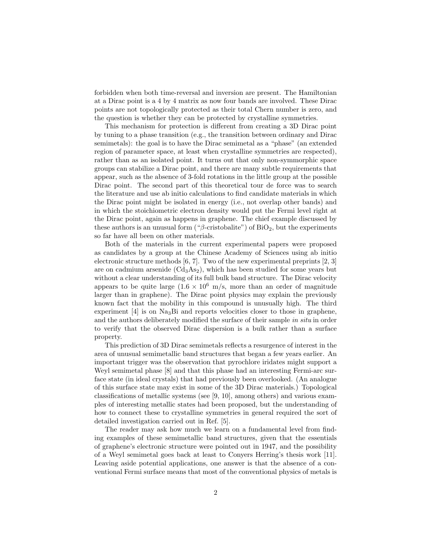forbidden when both time-reversal and inversion are present. The Hamiltonian at a Dirac point is a 4 by 4 matrix as now four bands are involved. These Dirac points are not topologically protected as their total Chern number is zero, and the question is whether they can be protected by crystalline symmetries.

This mechanism for protection is different from creating a 3D Dirac point by tuning to a phase transition (e.g., the transition between ordinary and Dirac semimetals): the goal is to have the Dirac semimetal as a "phase" (an extended region of parameter space, at least when crystalline symmetries are respected), rather than as an isolated point. It turns out that only non-symmorphic space groups can stabilize a Dirac point, and there are many subtle requirements that appear, such as the absence of 3-fold rotations in the little group at the possible Dirac point. The second part of this theoretical tour de force was to search the literature and use ab initio calculations to find candidate materials in which the Dirac point might be isolated in energy (i.e., not overlap other bands) and in which the stoichiometric electron density would put the Fermi level right at the Dirac point, again as happens in graphene. The chief example discussed by these authors is an unusual form (" $\beta$ -cristobalite") of BiO<sub>2</sub>, but the experiments so far have all been on other materials.

Both of the materials in the current experimental papers were proposed as candidates by a group at the Chinese Academy of Sciences using ab initio electronic structure methods  $[6, 7]$ . Two of the new experimental preprints  $[2, 3]$ are on cadmium arsenide  $(Cd_3As_2)$ , which has been studied for some years but without a clear understanding of its full bulk band structure. The Dirac velocity appears to be quite large  $(1.6 \times 10^6 \text{ m/s})$ , more than an order of magnitude larger than in graphene). The Dirac point physics may explain the previously known fact that the mobility in this compound is unusually high. The third experiment  $[4]$  is on Na<sub>3</sub>Bi and reports velocities closer to those in graphene, and the authors deliberately modified the surface of their sample *in situ* in order to verify that the observed Dirac dispersion is a bulk rather than a surface property.

This prediction of 3D Dirac semimetals reflects a resurgence of interest in the area of unusual semimetallic band structures that began a few years earlier. An important trigger was the observation that pyrochlore iridates might support a Weyl semimetal phase [8] and that this phase had an interesting Fermi-arc surface state (in ideal crystals) that had previously been overlooked. (An analogue of this surface state may exist in some of the 3D Dirac materials.) Topological classifications of metallic systems (see [9, 10], among others) and various examples of interesting metallic states had been proposed, but the understanding of how to connect these to crystalline symmetries in general required the sort of detailed investigation carried out in Ref. [5].

The reader may ask how much we learn on a fundamental level from finding examples of these semimetallic band structures, given that the essentials of graphene's electronic structure were pointed out in 1947, and the possibility of a Weyl semimetal goes back at least to Conyers Herring's thesis work [11]. Leaving aside potential applications, one answer is that the absence of a conventional Fermi surface means that most of the conventional physics of metals is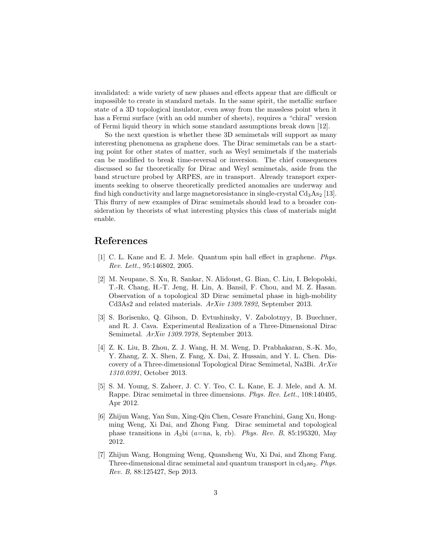invalidated: a wide variety of new phases and effects appear that are difficult or impossible to create in standard metals. In the same spirit, the metallic surface state of a 3D topological insulator, even away from the massless point when it has a Fermi surface (with an odd number of sheets), requires a "chiral" version of Fermi liquid theory in which some standard assumptions break down [12].

So the next question is whether these 3D semimetals will support as many interesting phenomena as graphene does. The Dirac semimetals can be a starting point for other states of matter, such as Weyl semimetals if the materials can be modified to break time-reversal or inversion. The chief consequences discussed so far theoretically for Dirac and Weyl semimetals, aside from the band structure probed by ARPES, are in transport. Already transport experiments seeking to observe theoretically predicted anomalies are underway and find high conductivity and large magnetoresistance in single-crystal  $Cd<sub>3</sub>As<sub>2</sub>$  [13]. This flurry of new examples of Dirac semimetals should lead to a broader consideration by theorists of what interesting physics this class of materials might enable.

## References

- [1] C. L. Kane and E. J. Mele. Quantum spin hall effect in graphene. *Phys. Rev. Lett.*, 95:146802, 2005.
- [2] M. Neupane, S. Xu, R. Sankar, N. Alidoust, G. Bian, C. Liu, I. Belopolski, T.-R. Chang, H.-T. Jeng, H. Lin, A. Bansil, F. Chou, and M. Z. Hasan. Observation of a topological 3D Dirac semimetal phase in high-mobility Cd3As2 and related materials. *ArXiv 1309.7892*, September 2013.
- [3] S. Borisenko, Q. Gibson, D. Evtushinsky, V. Zabolotnyy, B. Buechner, and R. J. Cava. Experimental Realization of a Three-Dimensional Dirac Semimetal. *ArXiv 1309.7978*, September 2013.
- [4] Z. K. Liu, B. Zhou, Z. J. Wang, H. M. Weng, D. Prabhakaran, S.-K. Mo, Y. Zhang, Z. X. Shen, Z. Fang, X. Dai, Z. Hussain, and Y. L. Chen. Discovery of a Three-dimensional Topological Dirac Semimetal, Na3Bi. *ArXiv 1310.0391*, October 2013.
- [5] S. M. Young, S. Zaheer, J. C. Y. Teo, C. L. Kane, E. J. Mele, and A. M. Rappe. Dirac semimetal in three dimensions. *Phys. Rev. Lett.*, 108:140405, Apr 2012.
- [6] Zhijun Wang, Yan Sun, Xing-Qiu Chen, Cesare Franchini, Gang Xu, Hongming Weng, Xi Dai, and Zhong Fang. Dirac semimetal and topological phase transitions in *A*3bi (*a*=na, k, rb). *Phys. Rev. B*, 85:195320, May 2012.
- [7] Zhijun Wang, Hongming Weng, Quansheng Wu, Xi Dai, and Zhong Fang. Three-dimensional dirac semimetal and quantum transport in  $cd<sub>3</sub>as<sub>2</sub>$ . *Phys. Rev. B*, 88:125427, Sep 2013.